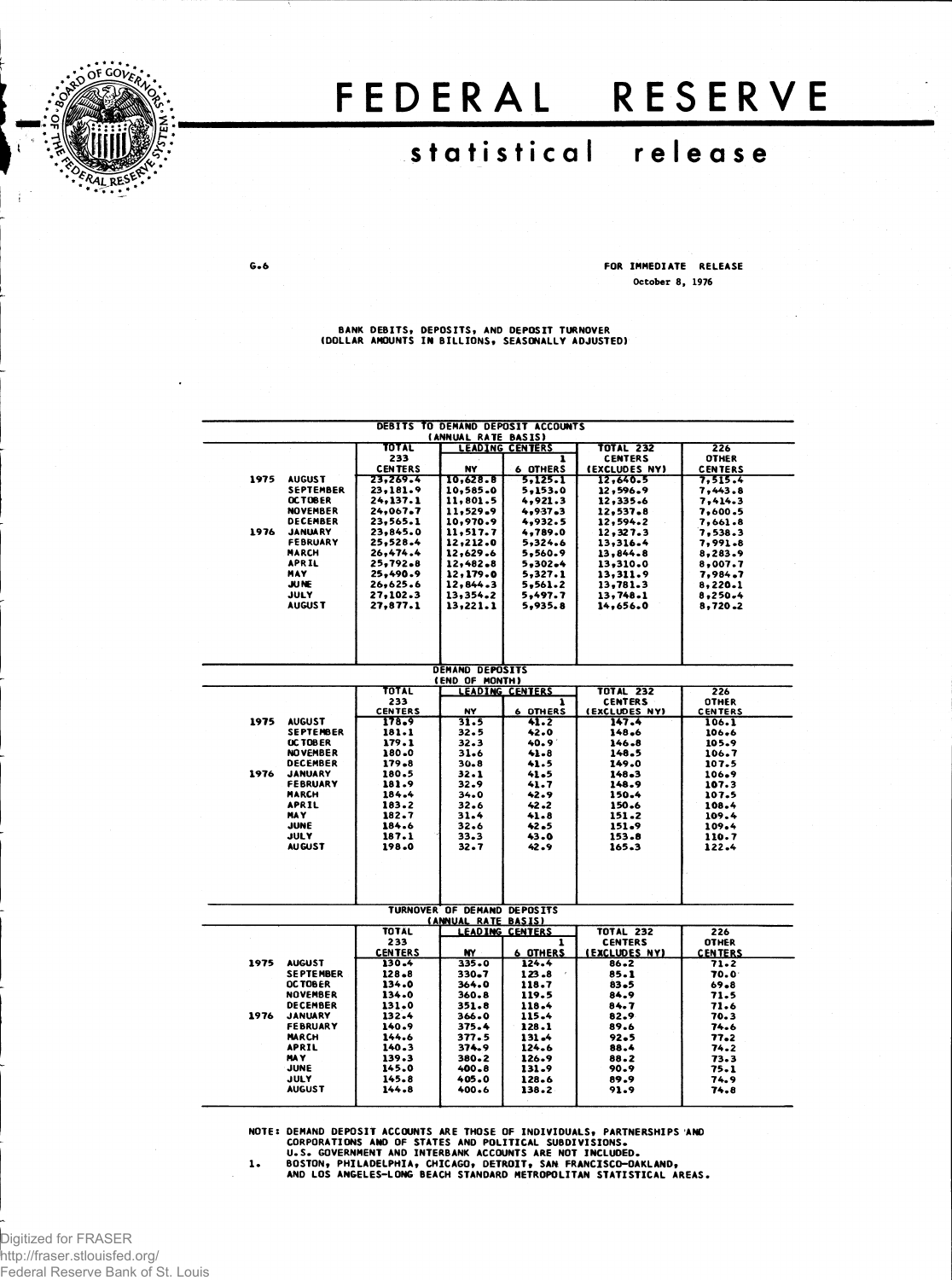

## FEDERAL RESERVE

## **statistica l releas e**

 $G - 6$ 

FOR IMMEDIATE RELEASE October 8, 1976

' BANK DEBITS, DEPOSITS, AND DEPOSIT TURNOVER<br>(DOLLAR AMOUNTS IN BILLIONS, SEASONALLY ADJUSTED)

|      |                  |                | (ANNUAL RATE BASIS)                                | DEBITS TO DEMAND DEPOSIT ACCOUNTS |                      |                |
|------|------------------|----------------|----------------------------------------------------|-----------------------------------|----------------------|----------------|
|      |                  | TOTAL          |                                                    | <b>LEADING CENTERS</b>            | <b>TOTAL 232</b>     | 226            |
|      |                  | 233            |                                                    |                                   | <b>CENTERS</b>       | <b>OTHER</b>   |
|      |                  | <b>CENTERS</b> | NY                                                 | <b>6 OTHERS</b>                   | (EXCLUDES NY)        | <b>CENTERS</b> |
| 1975 | <b>AUGUST</b>    | 23,269.4       | 10,628.8                                           | 5.125.1                           | 12.640.5             | 7.515.4        |
|      | <b>SEPTEMBER</b> | 23,181.9       | 10,585.0                                           | 5,153.0                           | 12,596.9             | 7,443.8        |
|      | <b>OCTOBER</b>   | 24,137.1       | 11,801.5                                           | 4,921.3                           | 12,335.6             | 7.414.3        |
|      | <b>NOVEMBER</b>  | 24,067.7       | 11,529.9                                           | 4,937.3                           | 12,537.8             | 7,600.5        |
|      | <b>DECEMBER</b>  | 23,565.1       | 10,970.9                                           | 4,932.5                           | 12,594.2             | 7,661.8        |
| 1976 | <b>JANUARY</b>   | 23,845.0       | 11,517.7                                           | 4,789.0                           | 12,327.3             | 7,538.3        |
|      | FEBRUARY         | 25,528.4       | 12,212.0                                           | 5,324.6                           | 13,316.4             | 7,991.8        |
|      | <b>MARCH</b>     | 26,474.4       | 12,629.6                                           | 5,560.9                           | 13.844.8             | 8,283.9        |
|      | <b>APRIL</b>     | 25,792.8       | 12,482.8                                           | 5,302.4                           | 13,310.0             | 8,007.7        |
|      | MAY              | 25,490.9       | 12,179.0                                           | 5,327.1                           | 13,311.9             | 7,984.7        |
|      | <b>JUNE</b>      | 26,625.6       | 12.844.3                                           | 5,561.2                           | 13,781.3             | 8,220.1        |
|      | <b>JULY</b>      | 27.102.3       | 13,354.2                                           | 5,497.7                           | 13,748.1             | 8,250.4        |
|      | <b>AUGUST</b>    | 27,877.1       | 13,221.1                                           | 5,935.8                           | 14.656.0             | 8.720.2        |
|      |                  |                |                                                    |                                   |                      |                |
|      |                  |                |                                                    |                                   |                      |                |
|      |                  |                |                                                    |                                   |                      |                |
|      |                  |                |                                                    |                                   |                      |                |
|      |                  |                | <b>DEMAND DEPOSITS</b><br>(END OF MONTH)           |                                   |                      |                |
|      |                  | TOTAL          |                                                    | <b>LEADING CENTERS</b>            | <b>TOTAL 232</b>     | 226            |
|      |                  | 233            |                                                    | 1                                 | <b>CENTERS</b>       | OTHER          |
|      |                  | <b>CENTERS</b> | NY                                                 | <b>6 OTHERS</b>                   | (EXCLUDES NY)        | <b>CENTERS</b> |
| 1975 | <b>AUGUST</b>    | 178.9          | 31.5                                               | 41.2                              | 147.4                | 106.1          |
|      | <b>SEPTEMBER</b> | 181.1          | 32.5                                               | 42.0                              | 148.6                | 106.6          |
|      | <b>UC TOBER</b>  | 179.1          | 32.3                                               | 40.9 <sup>°</sup>                 | 146.8                | 105.9          |
|      | <b>NOVEMBER</b>  | 180.0          | 31.6                                               | 41.8                              | 148.5                | 106.7          |
|      | <b>DECEMBER</b>  | $179 - 8$      | $30 - 8$                                           | 41.5                              | 149.0                | 107.5          |
| 1976 | <b>JANUARY</b>   | 180.5          | 32.1                                               | 41.5                              | 148.3                | 106.9          |
|      | <b>FEBRUARY</b>  | 181.9          | 32.9                                               | 41.7                              | 148.9                | 107.3          |
|      | <b>MARCH</b>     | 184.4          | 34.0                                               | 42.9                              | 150.4                | 107.5          |
|      | <b>APRIL</b>     | 183.2          | 32.6                                               | 42.2                              | 150.6                | 108.4          |
|      | <b>HAY</b>       | 182.7          | 31.4                                               | 41.8                              | 151.2                | 109.4          |
|      | JUNE             | 184.6          | 32.6                                               | 42.5                              | 151.9                | 109.4          |
|      | JULY             | 187.1          | 33.3                                               | 43.0                              | 153.8                | 110.7          |
|      | <b>AUGUST</b>    | 198.0          | 32.7                                               | 42.9                              | 165.3                | 122.4          |
|      |                  |                |                                                    |                                   |                      |                |
|      |                  |                |                                                    |                                   |                      |                |
|      |                  |                | TURNOVER OF DEMAND DEPOSITS<br>(ANNUAL RATE BASIS) |                                   |                      |                |
|      |                  | <b>TOTAL</b>   |                                                    | <b>LEADING CENTERS</b>            | <b>TOTAL 232</b>     | 226            |
|      |                  | 233            |                                                    | 1                                 | <b>CENTERS</b>       | <b>OTHER</b>   |
|      |                  | <b>CENTERS</b> | <b>NY</b>                                          | <b>6 OTHERS</b>                   | <b>(EXCLUDES NY)</b> | <b>CENTERS</b> |
| 1975 | <b>AUGUST</b>    | 130.4          | 335.0                                              | 124.4                             | 86.2                 | 71.2           |
|      | <b>SEPTEMBER</b> | $128 - 8$      | 330.7                                              | $123 - 8$                         | 85.1                 | 70.0           |
|      | <b>OCTOBER</b>   | 134.0          | 364.0                                              | 118.7                             | 83.5                 | 69.8           |
|      | <b>NOVEMBER</b>  | 134.0          | 360.8                                              | 119.5                             | 84.9                 | 71.5           |
|      | <b>DECEMBER</b>  | 131.0          | 351.8                                              | 118.4                             | 84.7                 | 71.6           |
| 1976 | <b>JANUARY</b>   | 132.4          | 366.0                                              | 115.4                             | 82.9                 | 70.3           |
|      | <b>FEBRUARY</b>  | 140.9          | 375.4                                              | 128.1                             | 89.6                 | 74.6           |
|      | <b>MARCH</b>     | 144.6          | 377.5                                              | 131.4                             | 92.5                 | 77.2           |
|      | <b>APRIL</b>     | 140.3          | 374.9                                              | 124.6                             | 88.4                 | 74.2           |
|      | <b>MAY</b>       | 139.3          | 380.2                                              | 126.9                             | 88.2                 | 73.3           |
|      | JUNE             | 145.0          | 400.8                                              | 131.9                             | 90.9                 | 75.1           |
|      | <b>JULY</b>      | 145.8          | 405.0                                              | 128.6                             | 89.9                 | 74.9           |
|      | <b>AUGUST</b>    | 144.8          | 400.6                                              | 138.2                             | 91.9                 | 74.8           |

NOTE: DEMAND DEPOSIT ACCOUNTS ARE THOSE OF INDIVIDUALS, PARTNERSHIPS AND<br>CORPORATIONS AND OF STATES AND POLITICAL SUBDIVISIONS.<br>U.S. GOVERNMENT AND INTERBANK ACCOUNTS ARE NOT INCLUDED.<br>1. BOSTON, PHILADELPHIA, CHICAGO, DET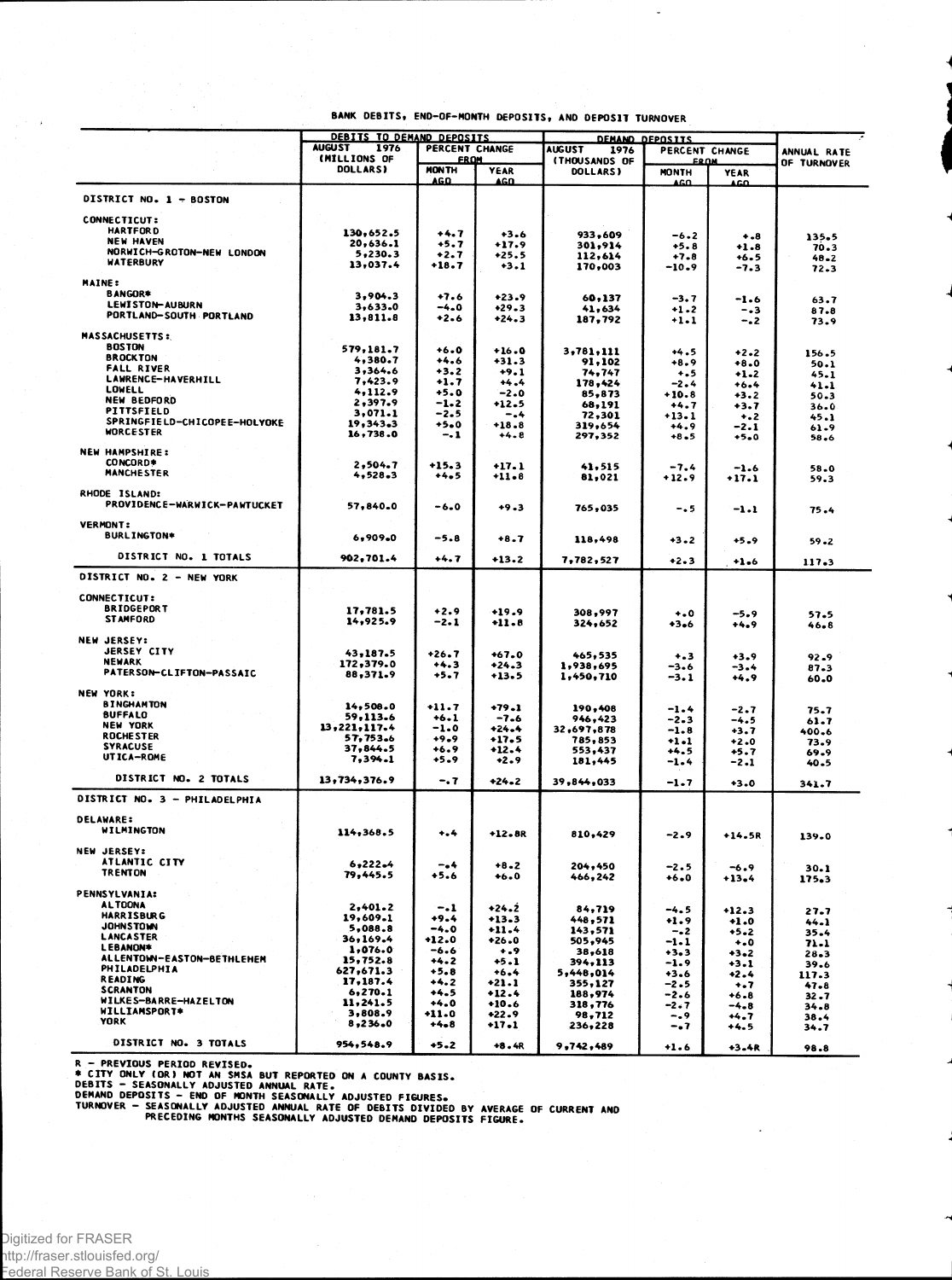|                                                  | <b>DEBITS TO DEMAND DEPOSITS</b>        |                       |                       | <b>DEMAND DEPOSITS</b> |                  |                    |               |
|--------------------------------------------------|-----------------------------------------|-----------------------|-----------------------|------------------------|------------------|--------------------|---------------|
|                                                  | <b>AUGUST</b><br>1976<br>PERCENT CHANGE |                       | <b>AUGUST</b><br>1976 | PERCENT CHANGE         |                  | ANNUAL RATE        |               |
|                                                  | (MILLIONS OF                            | <b>FROM</b>           |                       | <b>(THOUSANDS OF</b>   | <b>FROM</b>      |                    | OF TURNOVER   |
|                                                  | <b>DOLLARS)</b>                         | <b>MONTH</b><br>AG O. | <b>YEAR</b><br>AGO.   | DOLLARS)               | <b>MONTH</b>     | YEAR               |               |
|                                                  |                                         |                       |                       |                        | AGO.             | ACO                |               |
| DISTRICT NO. 1 - BOSTON                          |                                         |                       |                       |                        |                  |                    |               |
| <b>CONNECTICUT:</b>                              |                                         |                       |                       |                        |                  |                    |               |
| <b>HARTFORD</b>                                  | 130,652.5                               | +4.7                  | $+3.6$                | 933,609                | $-6.2$           |                    |               |
| <b>NEW HAVEN</b>                                 | 20,636.1                                | +5.7                  | +17.9                 | 301,914                | $+5.8$           | $^{+.8}$<br>$+1.8$ | 135.5<br>70.3 |
| NORWICH-GROTON-NEW LONDON                        | 5,230.3                                 | +2.7                  | $+25.5$               | 112,614                | $+7.8$           | +6.5               | $48 - 2$      |
| WATERBURY                                        | 13,037.4                                | +18.7                 | $+3.1$                | 170,003                | -10.9            | -7.3               | 72.3          |
| <b>MAINE:</b>                                    |                                         |                       |                       |                        |                  |                    |               |
| <b>BANGOR*</b>                                   | 3,904.3                                 | $+7.6$                | $+23.9$               |                        |                  |                    |               |
| LEWISTON-AUBURN                                  | 3,633.0                                 | -4.0                  | $+29.3$               | 60,137<br>41,634       | $-3.7$           | -1.6               | 63.7          |
| PORTLAND-SOUTH PORTLAND                          | 13.811.8                                | $+2.6$                | $+24.3$               | 187,792                | +1.2<br>$+1.1$   | - - 3<br>$-.2$     | 87.8<br>73.9  |
|                                                  |                                         |                       |                       |                        |                  |                    |               |
| <b>MASSACHUSETTS:</b>                            |                                         |                       |                       |                        |                  |                    |               |
| <b>BOSTON</b><br><b>BROCKTON</b>                 | 579,181.7                               | $+6.0$                | $+16.0$               | 3,781,111              | $+4.5$           | +2.2               | 156.5         |
| <b>FALL RIVER</b>                                | 4,380.7<br>3,364.6                      | +4.6                  | +31.3                 | 91,102                 | $+8.9$           | $+8.0$             | 50.1          |
| <b>LAWRENCE-HAVERHILL</b>                        | 7,423.9                                 | +3.2<br>+1.7          | $+9.1$<br>$+4.4$      | 74,747                 | +.5              | $+1.2$             | 45.1          |
| <b>LOWELL</b>                                    | 4,112.9                                 | $+5.0$                | $-2.0$                | 178,424<br>85,873      | -2.4<br>$+10.8$  | +6.4<br>$+3.2$     | 41.1          |
| <b>NEW BEDFORD</b>                               | 2,397.9                                 | -1.2                  | +12.5                 | 68,191                 | $+4.7$           | $+3.7$             | 50.3<br>36.0  |
| PITTSFIELD                                       | 3,071.1                                 | -2.5                  | -.4                   | 72,301                 | $+13.1$          | $\ddotsc$          | 45.1          |
| SPRINGFIELD-CHICOPEE-HOLYOKE<br><b>WORCESTER</b> | 19,343.3                                | +5.0                  | $+18.8$               | 319,654                | $+4.9$           | -2.1               | 61.9          |
|                                                  | 16,738.0                                | - 1                   | $+4.8$                | 297,352                | $+8.5$           | +5.0               | 58.6          |
| <b>NEW HAMPSHIRE:</b>                            |                                         |                       |                       |                        |                  |                    |               |
| CONCORD*                                         | 2,504.7                                 | $+15.3$               | $+17.1$               | 41,515                 | $-7.4$           | $-1.6$             | 58.0          |
| <b>MANCHESTER</b>                                | 4,528.3                                 | $+4.5$                | $+11 - 8$             | 81,021                 | $+12.9$          | $+17.1$            | 59.3          |
| RHODE ISLAND:                                    |                                         |                       |                       |                        |                  |                    |               |
| PROVIDENCE-WARWICK-PAWTUCKET                     |                                         |                       |                       |                        |                  |                    |               |
|                                                  | 57,840.0                                | -6.0                  | $+9.3$                | 765,035                | -. 5             | $-1.1$             | $75 - 4$      |
| <b>VERMONT:</b>                                  |                                         |                       |                       |                        |                  |                    |               |
| <b>BURLINGTON*</b>                               | 6,909.0                                 | $-5.8$                | $+8.7$                | 118,498                | $+3.2$           | $+5.9$             | 59.2          |
|                                                  |                                         |                       |                       |                        |                  |                    |               |
| DISTRICT NO. 1 TOTALS                            | 902,701.4                               | $+4.7$                | $+13.2$               | 7,782,527              | $+2.3$           | $+1.6$             | 117.3         |
| DISTRICT NO. 2 - NEW YORK                        |                                         |                       |                       |                        |                  |                    |               |
|                                                  |                                         |                       |                       |                        |                  |                    |               |
| <b>CONNECTICUT:</b>                              |                                         |                       |                       |                        |                  |                    |               |
| <b>BRIDGEPORT</b>                                | 17,781.5                                | $+2.9$                | $+19.9$               | 308,997                | $\ddotsc$        | -5.9               | 57.5          |
| <b>STAMFORD</b>                                  | 14,925.9                                | -2.1                  | $+11.8$               | 324,652                | $+3.6$           | +4.9               | 46.8          |
| <b>NEW JERSEY:</b>                               |                                         |                       |                       |                        |                  |                    |               |
| <b>JERSEY CITY</b>                               | 43,187.5                                | $+26.7$               | $+67.0$               |                        |                  |                    |               |
| NEWARK                                           | 172,379.0                               | +4.3                  | $+24.3$               | 465,535<br>1,938,695   | $+ - 3$<br>-3.6  | $+3.9$<br>$-3.4$   | 92.9          |
| <b>PATERSON-CLIFTON-PASSAIC</b>                  | 88,371.9                                | +5.7                  | +13.5                 | 1,450,710              | $-3.1$           | +4.9               | 87.3<br>60.0  |
|                                                  |                                         |                       |                       |                        |                  |                    |               |
| <b>NEW YORK:</b>                                 |                                         |                       |                       |                        |                  |                    |               |
| <b>BINGHAMTON</b><br><b>BUFFALO</b>              | 14,508.0                                | $+11.7$               | $+79.1$               | 190,408                | $-1 - 4$         | $-2 - 7$           | 75.7          |
| <b>NEW YORK</b>                                  | 59,113.6<br>13,221,117.4                | $+6.1$<br>-1.0        | -7.6<br>$+24.4$       | 946,423                | $-2 - 3$         | $-4.5$             | 61.7          |
| <b>ROCHESTER</b>                                 | 57,753.6                                | $+9.9$                | $+17.5$               | 32,697,878<br>785,853  | $-1.8$           | $+3.7$             | 400.6         |
| <b>SYRACUSE</b>                                  | 37,844.5                                | $+6.9$                | $+12.4$               | 553,437                | $+1.1$<br>$+4.5$ | $+2.0$<br>$+5.7$   | 73.9<br>69.9  |
| UTICA-ROME                                       | 7,394.1                                 | $+5.9$                | $+2.9$                | 181,445                | $-1.4$           | $-2.1$             | 40.5          |
|                                                  |                                         |                       |                       |                        |                  |                    |               |
| DISTRICT NO. 2 TOTALS                            | 13,734,376.9                            | $-.7$                 | $+24.2$               | 39,844,033             | $-1.7$           | $+3.0$             | 341.7         |
| DISTRICT NO. 3 - PHILADELPHIA                    |                                         |                       |                       |                        |                  |                    |               |
|                                                  |                                         |                       |                       |                        |                  |                    |               |
| <b>DELAWARE:</b>                                 |                                         |                       |                       |                        |                  |                    |               |
| WILMINGTON                                       | 114,368.5                               | $^{+4}$               | $+12.8R$              | 810,429                | -2.9             | +14.5R             | 139.0         |
| <b>NEW JERSEY:</b>                               |                                         |                       |                       |                        |                  |                    |               |
| ATLANTIC CITY                                    | 6,222.4                                 |                       |                       |                        |                  |                    |               |
| <b>TRENTON</b>                                   | 79,445.5                                | -.4<br>$+5.6$         | $+8.2$<br>$+6.0$      | 204,450                | $-2.5$           | $-6.9$             | 30.1          |
|                                                  |                                         |                       |                       | 466,242                | $+6.0$           | $+13.4$            | 175.3         |
| <b>PENNSYLVANIA:</b>                             |                                         |                       |                       |                        |                  |                    |               |
| <b>ALTOONA</b>                                   | 2,401.2                                 | $-1$                  | +24.2                 | 84,719                 | -4.5             | +12.3              | 27.7          |
| <b>HARRISBURG</b>                                | 19,609.1                                | $+9.4$                | +13.3                 | 448,571                | +1.9             | $+1.0$             | 44.1          |
| <b>JOHNSTOWN</b><br>LANCASTER                    | 5.088.8                                 | -4.0                  | $+11.4$               | 143,571                | $-2$             | $+5.2$             | 35.4          |
| LEBANON*                                         | 36,169.4<br>1,076.0                     | +12.0<br>$-6.6$       | +26.0                 | 505,945                | $-1-1$           | $+0$               | 71.1          |
| ALLENTOWN-EASTON-BETHLEHEM                       | 15,752.8                                | $+4.2$                | $\ddotsc$<br>$+5.1$   | 38,618<br>394,113      | $+3.3$<br>-1.9   | $+3.2$             | 28.3          |
| PHILADELPHIA                                     | 627,671.3                               | +5.8                  | +6.4                  | 5,448,014              | $+3.6$           | $+3.1$<br>$+2.4$   | 39.6          |
| <b>READING</b>                                   | 17,187.4                                | $+4.2$                | +21.1                 | 355,127                | $-2.5$           | $\ddotsc$          | 117.3<br>47.8 |
| <b>SCRANTON</b>                                  | 6, 270.1                                | $+4.5$                | $+12.4$               | 188,974                | $-2.6$           | $+6 - 8$           | $32 - 7$      |
| WILKES-BARRE-HAZELTON                            | 11,241.5                                | +4.0                  | $+10.6$               | 318,776                | -2.7             | $-4.8$             | 34.8          |
| WILLIAMSPORT*<br>YORK                            | 3,808.9<br>8,236.0                      | +11.0                 | $+22.9$               | 98,712                 | $-0.9$           | +4.7               | 38.4          |
|                                                  |                                         | +4.8                  | $+17.1$               | 236,228                | -. 7             | $+4.5$             | 34.7          |
| DISTRICT NO. 3 TOTALS                            | 954,548.9                               | $+5.2$                | +8.4R                 | 9,742,489              | $+1.6$           | +3.4R              | 98.8          |

 $\overline{a}$ 

R – PREVIOUS PERIOD REVISED.<br>
\* CITY ONLY (OR) NOT AN SMSA BUT REPORTED ON A COUNTY BASIS.<br>
DEBITS – SEASONALLY ADJUSTED ANNUAL RATE.<br>
DEMAND DEPOSITS – END OF MONTH SEASONALLY ADJUSTED FIGURES.<br>
TURNOVER – SEASONALLY ADJU

Digitized for FRASER http://fraser.stlouisfed.org/ Federal Reserve Bank of St. Louis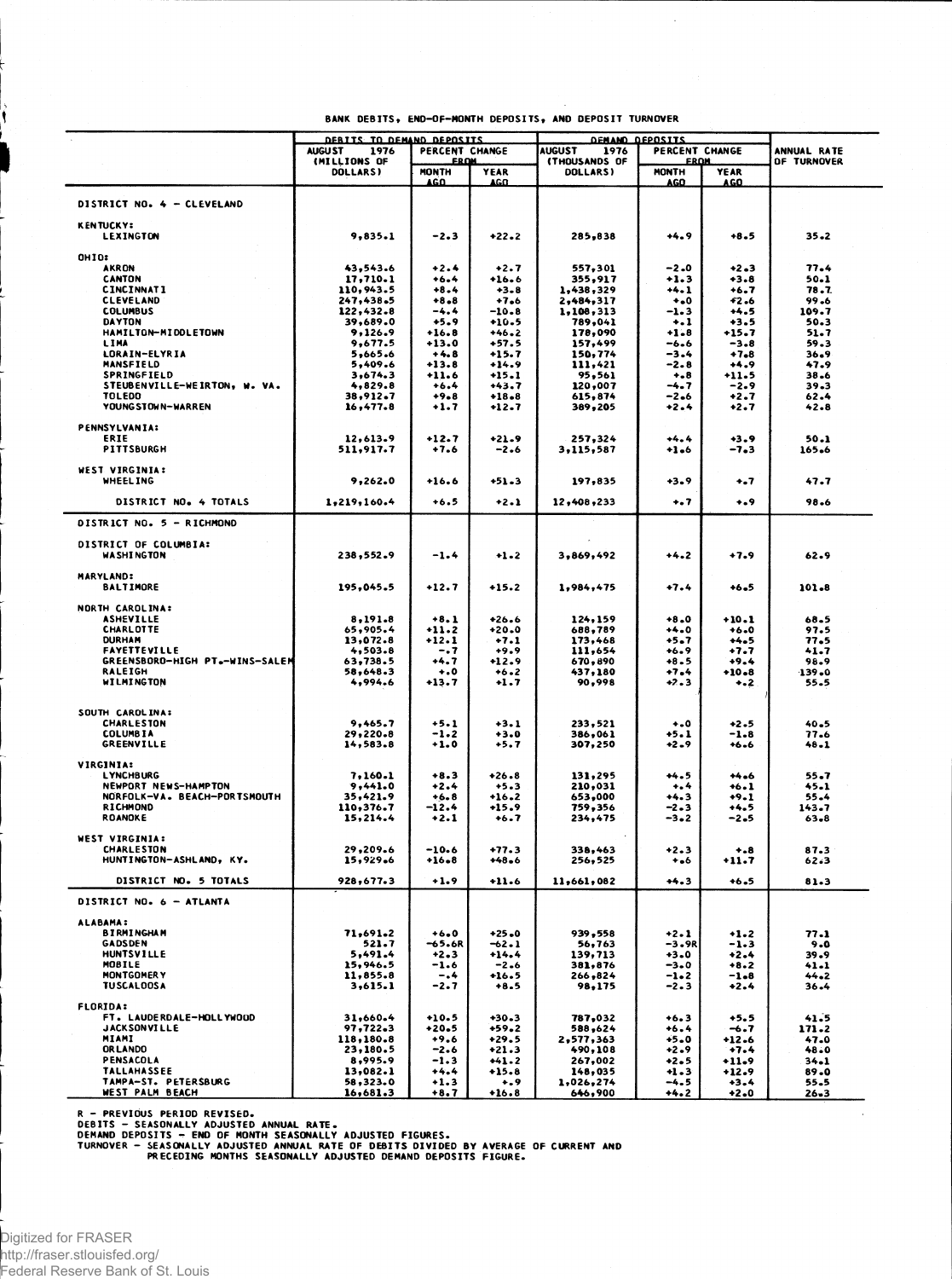|                                            | DEBITS TO DEMAND DEPOSITS<br>PERCENT CHANGE<br><b>AUGU ST</b><br>1976 |                    | <b>DEMAND DEPOSITS</b> |                      |                    |                  |                    |
|--------------------------------------------|-----------------------------------------------------------------------|--------------------|------------------------|----------------------|--------------------|------------------|--------------------|
|                                            |                                                                       |                    | <b>AUGUST</b><br>1976  | PERCENT CHANGE       |                    | ANNUAL RATE      |                    |
|                                            | (MILLIONS OF                                                          | <b>FROM</b>        |                        | <b>(THOUSANDS OF</b> | <b>FROM</b>        |                  | <b>OF TURNOVER</b> |
|                                            | <b>DOLLARS</b>                                                        | <b>MONTH</b>       | YEAR                   | <b>DOLLARS)</b>      | MONTH              | <b>YEAR</b>      |                    |
|                                            |                                                                       | AGO                | AGO                    |                      | AGO                | AGO              |                    |
| DISTRICT NO. 4 - CLEVELAND                 |                                                                       |                    |                        |                      |                    |                  |                    |
|                                            |                                                                       |                    |                        |                      |                    |                  |                    |
| <b>KENTUCKY:</b>                           |                                                                       |                    |                        |                      |                    |                  |                    |
| <b>LEXINGTON</b>                           | 9,835.1                                                               | -2.3               | +22.2                  | 285,838              | +4.9               | +8.5             | $35 - 2$           |
|                                            |                                                                       |                    |                        |                      |                    |                  |                    |
| <b>OHIO:</b><br>AKRON                      | 43,543.6                                                              | $+2.4$             | $+2.7$                 | 557,301              | -2.0               | $+2 - 3$         | 77.4               |
| CANTON                                     | 17,710.1                                                              | $+6.4$             | +16.6                  | 355,917              | +1.3               | +3.8             | 50.1               |
| <b>CINCINNATI</b>                          | 110,943.5                                                             | $+8.4$             | $+3 - 8$               | 1,438,329            | +4.1               | +6.7             | 78.7               |
| <b>CLEVELAND</b>                           | 247,438.5                                                             | $+8 - 8$           | $+7.6$                 | 2,484,317            | $\ddotsc$          | 42.6             | 99.6               |
| <b>COLUMBUS</b>                            | 122,432.8                                                             | -4.4               | -10.8                  | 1,108,313            | -1.3               | $+4.5$           | 109.7              |
| <b>DAYTON</b>                              | 39,689.0                                                              | $+5.9$             | $+10.5$                | 789,041              | $\ddots$           | +3.5             | 50.3               |
| HAMILTON-MIDDLETOWN                        | 9,126.9                                                               | $+16.8$            | $+46.2$                | 178,090              | $+1.8$             | $+15.7$          | 51.7               |
| LIMA<br>LORAIN-ELYRIA                      | 9,677.5<br>5,665.6                                                    | $+13.0$<br>$+4.8$  | +57.5<br>+15.7         | 157,499<br>150,774   | -6.6<br>-3.4       | $-3.8$<br>$+7.8$ | 59.3<br>36.9       |
| <b>MANSFIELD</b>                           | 5,409.6                                                               | $+13.8$            | +14.9                  | 111,421              | -2.8               | $+4.9$           | 47.9               |
| SPRINGFIELD                                | 3,674.3                                                               | +11.6              | +15.1                  | 95,561               | $^{+ - 8}$         | +11.5            | 38.6               |
| STEUBENVILLE-WEIRTON, W. VA.               | 4,829.8                                                               | $+6.4$             | +43.7                  | 120,007              | -4.7               | -2.9             | 39.3               |
| <b>TOLEDO</b>                              | 38,912.7                                                              | $+9.8$             | $+18 - 8$              | 615,874              | -2.6               | $+2.7$           | $62 - 4$           |
| YOUNG STOWN-WARREN                         | 16,477.8                                                              | $+1.7$             | +12.7                  | 389,205              | +2.4               | $+2.7$           | 42.8               |
|                                            |                                                                       |                    |                        |                      |                    |                  |                    |
| <b>PENNSYLVANIA:</b>                       |                                                                       |                    |                        |                      |                    |                  |                    |
| ERTE<br>PITTSBURGH                         | 12,613.9                                                              | $+12.7$<br>$+7.6$  | $+21.9$                | 257,324              | $+4.4$             | +3.9             | 50.1               |
|                                            | 511,917.7                                                             |                    | $-2.6$                 | 3,115,587            | +1.6               | -7.3             | 165.6              |
| WEST VIRGINIA:                             |                                                                       |                    |                        |                      |                    |                  |                    |
| <b>WHEELING</b>                            | 9,262.0                                                               | $+16.6$            | +51.3                  | 197,835              | +3.9               | +.7              | 47.7               |
|                                            |                                                                       |                    |                        |                      |                    |                  |                    |
| DISTRICT NO. 4 TOTALS                      | 1,219,160.4                                                           | $+6.5$             | $+2.1$                 | 12,408,233           | $^{+.7}$           | 0.4              | 98.6               |
|                                            |                                                                       |                    |                        |                      |                    |                  |                    |
| DISTRICT NO. 5 - RICHMOND                  |                                                                       |                    |                        |                      |                    |                  |                    |
| DISTRICT OF COLUMBIA:                      |                                                                       |                    |                        |                      |                    |                  |                    |
| <b>WASHINGTON</b>                          | 238,552.9                                                             | $-1.4$             | +1.2                   | 3,869,492            | +4.2               | $+7.9$           | 62.9               |
|                                            |                                                                       |                    |                        |                      |                    |                  |                    |
| <b>MARYLAND:</b>                           |                                                                       |                    |                        |                      |                    |                  |                    |
| <b>BALTIMORE</b>                           | 195,045.5                                                             | +12.7              | $+15.2$                | 1,984,475            | $+7.4$             | $+6.5$           | 101.8              |
|                                            |                                                                       |                    |                        |                      |                    |                  |                    |
| NORTH CAROLINA:                            |                                                                       |                    |                        |                      |                    |                  |                    |
| <b>ASHEVILLE</b>                           | 8,191.8                                                               | $+8.1$             | $+26.6$                | 124,159              | $+8.0$             | $+10.1$          | 68.5               |
| <b>CHARLOTTE</b><br><b>DURHAM</b>          | 65,905.4                                                              | $+11.2$            | +20.0                  | 688,789              | +4.0               | $+6.0$           | 97.5               |
| <b>FAYETTEVILLE</b>                        | 13,072.8<br>4,503.8                                                   | $+12.1$<br>-. 7    | $+7.1$<br>+9.9         | 173,468<br>111,654   | $+5 - 7$<br>$+6.9$ | $+4.5$<br>+7.7   | 77.5<br>41.7       |
| GREENSBORO-HIGH PT.-WINS-SALEM             | 63,738.5                                                              | +4.7               | +12.9                  | 670,890              | +8.5               | $+9.4$           | 98.9               |
| RALEIGH                                    | 58,648.3                                                              | $\ddotsc$          | +6.2                   | 437,180              | +7.4               | $+10.8$          | $-139 - 0$         |
| WILMINGTON                                 | 4,994.6                                                               | $+13.7$            | +1.7                   | 90,998               | $+2.3$             | ÷.2              | 55.5               |
|                                            |                                                                       |                    |                        |                      |                    |                  |                    |
|                                            |                                                                       |                    |                        |                      |                    |                  |                    |
| SOUTH CAROLINA:                            |                                                                       |                    |                        |                      |                    |                  |                    |
| <b>CHARLESTON</b><br><b>COLUMBIA</b>       | 9,465.7                                                               | $+5.1$<br>$-1.2$   | $+3.1$                 | 233,521              | $+0$               | $+2.5$           | 40.5               |
| <b>GREENVILLE</b>                          | 29,220.8<br>14,583.8                                                  | $+1.0$             | $+3.0$<br>+5.7         | 386,061<br>307,250   | +5.1<br>+2.9       | $-1.8$<br>$+6.6$ | 77.6<br>48.1       |
|                                            |                                                                       |                    |                        |                      |                    |                  |                    |
| <b>VIRGINIA:</b>                           |                                                                       |                    |                        |                      |                    |                  |                    |
| LYNCHBURG                                  | 7,160.1                                                               | $+8.3$             | +26.8                  | 131,295              | +4.5               | $+4.6$           | 55.7               |
| NEWPORT NEWS-HAMPTON                       | 9,441.0                                                               | $+2.4$             | $+5.3$                 | 210,031              | $^{+4}$            | $+6.1$           | 45.1               |
| NORFOLK-VA. BEACH-PORTSMOUTH               | 35,421.9                                                              | $+6.8$             | $+16.2$                | 653,000              | +4.3               | $+9.1$           | 55.4               |
| RICHMOND                                   | 110,376.7                                                             | $-12.4$            | $+15.9$                | 759,356              | $-2 - 3$           | $+4.5$           | 143.7              |
| ROANOKE                                    | 15,214.4                                                              | $+2.1$             | +6.7                   | 234,475              | -3.2               | -2.5             | 63.8               |
| WEST VIRGINIA:                             |                                                                       |                    |                        |                      |                    |                  |                    |
| <b>CHARLESTON</b>                          | 29,209.6                                                              | $-10.6$            | $+77.3$                | 338,463              | +2.3               | $+ - 8$          | 87.3               |
| HUNTINGTON-ASHLAND, KY.                    | 15,929.6                                                              | $+16-8$            | +48.6                  | 256,525              | ۰.۶                | +11.7            | 62.3               |
|                                            |                                                                       |                    |                        |                      |                    |                  |                    |
| DISTRICT NO. 5 TOTALS                      | 928,677.3                                                             | $+1.9$             | +11.6                  | 11,661,082           | $+4.3$             | $+6.5$           | 81.3               |
| DISTRICT NO.                               |                                                                       |                    |                        |                      |                    |                  |                    |
|                                            |                                                                       |                    |                        |                      |                    |                  |                    |
| <b>ALABAMA:</b>                            |                                                                       |                    |                        |                      |                    |                  |                    |
| <b>BIRMINGHAM</b>                          | 71,691.2                                                              | $+6.0$             | $+25.0$                | 939,558              | $+2 - 1$           | $+1.2$           | 77.1               |
| <b>GADSDEN</b>                             | 521.7                                                                 | <del>-6</del> 5.6R | -62.1                  | 56,763               | -3.9R              | $-1.3$           | 9.0                |
| <b>HUNTSVILLE</b>                          | 5,491.4<br>15,946.5                                                   | $+2.3$             | $+14.4$                | 139,713              | $+3.0$             | $+2.4$           | 39.9               |
| <b>MOBILE</b><br>MONTGOMERY                | 11,855.8                                                              | $-1.6$<br>-.4      | $-2.6$<br>$+16.5$      | 381,876<br>266,824   | $-3 - 0$<br>$-1-2$ | $+8.2$<br>$-1.8$ | 41.1<br>44.2       |
| <b>TUSCALOOSA</b>                          | 3,615.1                                                               | -2.7               | $+8.5$                 | 98,175               | -2.3               | $+2.4$           | $36 - 4$           |
|                                            |                                                                       |                    |                        |                      |                    |                  |                    |
| <b>FLORIDA:</b>                            |                                                                       |                    |                        |                      |                    |                  |                    |
| FT. LAUDERDALE-HOLLYWOOD                   | 31,660.4                                                              | $+10.5$            | $+30 - 3$              | 787,032              | +6.3               | $+5.5$           | 41.5               |
| <b>JACKSONVILLE</b>                        | 97,722.3                                                              | $+20.5$            | $+59.2$                | 588,624              | +6.4               | $-6.7$           | 171.2              |
| MIAMI                                      | 118,180.8                                                             | $+9.6$             | +29.5                  | 2,577,363            | $+5.0$             | +12.6            | 47.0               |
| <b>OR LANDO</b>                            | 23,180.5                                                              | $-2.6$             | $+21.3$                | 490,108              | +2.9               | $+7.4$           | 48.0               |
| PENSACOLA                                  | 8,995.9                                                               | $-1.3$             | $+41.2$                | 267,002              | $+2.5$             | +11.9            | $34 - 1$           |
| <b>TALLAHASSEE</b><br>TAMPA-ST. PETERSBURG | 13,082.1                                                              | $+4.4$             | $+15.8$                | 148,035              | $+1.3$             | $+12.9$          | 89.0               |
| WEST PALM BEACH                            | 58,323.0<br>16.681.3                                                  | $+1.3$<br>$+8.7$   | $\ddotsc$<br>$+16.8$   | 1,026,274<br>646.900 | -4.5<br>$+4.2$     | $+3.4$<br>$+2.0$ | 55.5<br>$26 - 3$   |

 $\bar{z}$ 

R – PREVIOUS PERIOD REVISED.<br>DEBITS – SEASONALLY ADJUSTED ANNUAL RATE.<br>DEMAND DEPOSITS – END OF MONTH SEASONALLY ADJUSTED FIGURES.<br>TURNOVER – SEASONALLY ADJUSTED ANNUAL RATE OF DEBITS DIVIDED BY AVERAGE OF CURRENT AND<br>PREC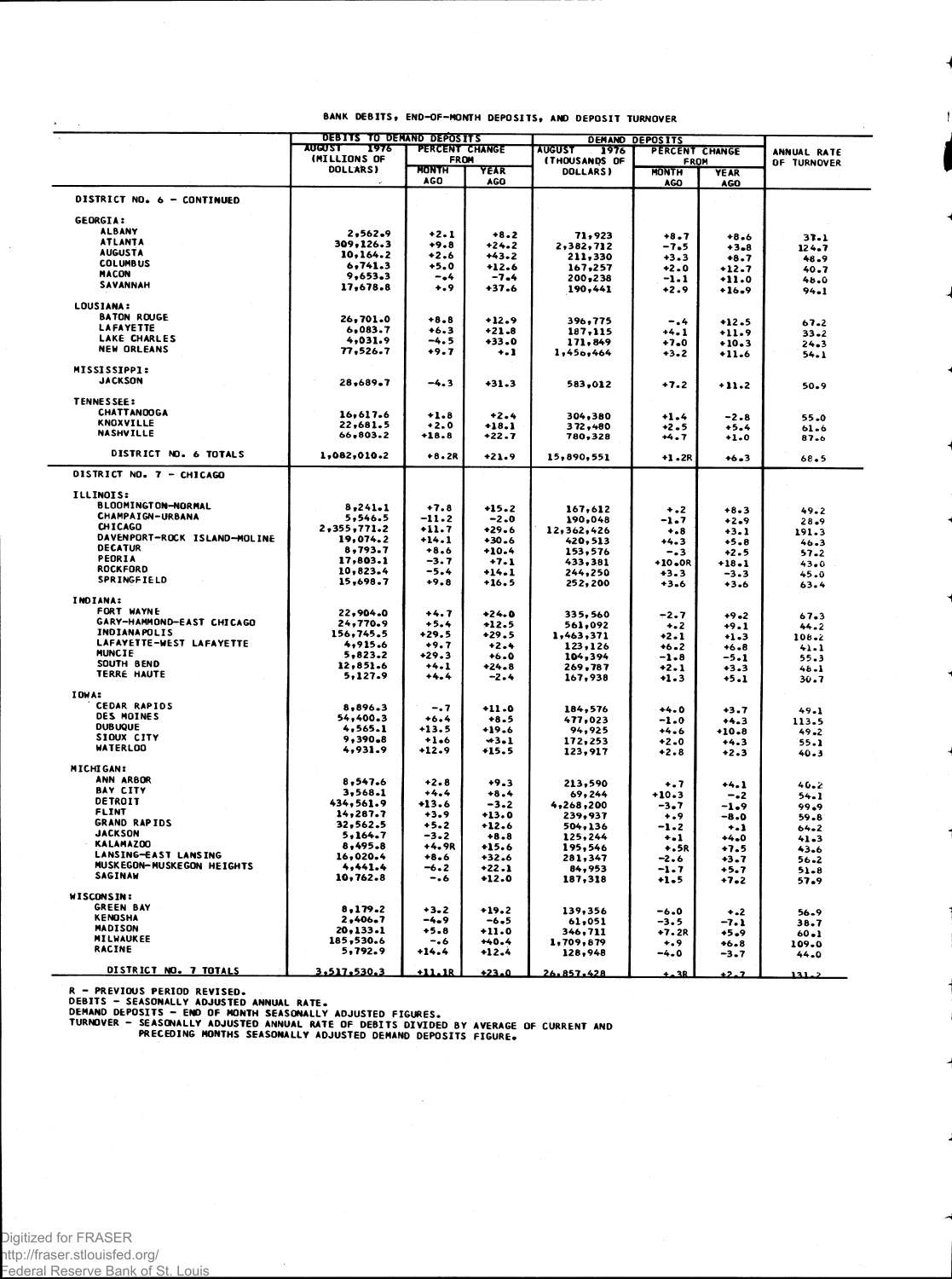|                                | <b>AUGUST</b><br>1976 | DEBITS TO DEMAND DEPOSITS<br>PERCENT CHANGE |                    | <b>AUGUST</b>         | DEMAND DEPOSITS        |                           |                            |  |
|--------------------------------|-----------------------|---------------------------------------------|--------------------|-----------------------|------------------------|---------------------------|----------------------------|--|
|                                | (MILLIONS OF          | <b>FROM</b>                                 |                    | 1976<br>(THOUSANDS OF | PERCENT CHANGE<br>FROM |                           | ANNUAL RATE<br>OF TURNOVER |  |
|                                | <b>DOLLARS)</b>       | <b>MONTH</b><br><b>AGO</b>                  | YEAR<br><b>AGO</b> | DOLLARS)              | <b>MONTH</b><br>AGO    | <b>YEAR</b><br><b>AGO</b> |                            |  |
| DISTRICT NO. 6 - CONTINUED     |                       |                                             |                    |                       |                        |                           |                            |  |
| <b>GEORGIA:</b>                |                       |                                             |                    |                       |                        |                           |                            |  |
| <b>ALBANY</b>                  | 2,562.9               | $+2.1$                                      | $+8.2$             | 71,923                | $+8.7$                 | $+8.6$                    | 37.1                       |  |
| <b>ATLANTA</b>                 | 309,126.3             | $+9.8$                                      | +24.2              | 2,382,712             | $-7.5$                 | $+3 - 8$                  |                            |  |
| <b>AUGUSTA</b>                 | 10,164.2              | $+2.6$                                      | $+43.2$            | 211,330               | $+3.3$                 | $+8.7$                    | 124.7                      |  |
| <b>COLUMBUS</b>                | 6,741.3               | $+5.0$                                      | $+12.6$            | 167,257               | $+2.0$                 |                           | 48.9                       |  |
| <b>MACON</b>                   | 9,653.3               | -.4                                         | $-7.4$             | 200,238               | $-1.1$                 | +12.7<br>$+11.0$          | 40.7                       |  |
| <b>SAVANNAH</b>                | 17,678.8              | $+ .9$                                      | $+37.6$            | 190,441               | +2.9                   | $+16.9$                   | 48.0<br>94.1               |  |
| LOUSIANA:                      |                       |                                             |                    |                       |                        |                           |                            |  |
| <b>BATON ROUGE</b>             | 26,701.0              | $+8.8$                                      | $+12.9$            | 396,775               | $-0.4$                 | $+12.5$                   |                            |  |
| <b>LAFAYETTE</b>               | 6,083.7               | $+6.3$                                      | $+21.8$            | 187,115               | $+4.1$                 | $+11.9$                   | 67.2<br>$33 - 2$           |  |
| <b>LAKE CHARLES</b>            | 4,031.9               | -4.5                                        | $+33.0$            | 171,849               | $+7.0$                 |                           |                            |  |
| <b>NEW ORLEANS</b>             | 77,526.7              | $+9.7$                                      | $\ddotsc$          | 1,456,464             | $+3.2$                 | $+10.3$<br>$+11.6$        | 24.3<br>$54 - 1$           |  |
| MISSISSIPP1:<br><b>JACKSON</b> | 28,689.7              | -4.3                                        | $+31.3$            | 583,012               | $+7.2$                 | $+11.2$                   | $50 - 9$                   |  |
| <b>TENNESSEE:</b>              |                       |                                             |                    |                       |                        |                           |                            |  |
| <b>CHATTANOOGA</b>             | 16,617.6              | $+1.8$                                      | $+2.4$             | 304,380               | $+1.4$                 | $-2 - 8$                  |                            |  |
| <b>KNOXVILLE</b>               | 22,681.5              | $+2.0$                                      | $+18.1$            | 372,480               | +2.5                   | $+5.4$                    | 55.0                       |  |
| <b>NASHVILLE</b>               | 66,803.2              | $+18.8$                                     | $+22.7$            | 780,328               | +4.7                   | $+1.0$                    | $61 - 6$<br>87.6           |  |
| DISTRICT NO. 6 TOTALS          | 1,082,010.2           | $+8.2R$                                     | $+21.9$            | 15,890,551            | $+1.2R$                | $+6 - 3$                  | 68.5                       |  |
| DISTRICT NO. 7 - CHICAGO       |                       |                                             |                    |                       |                        |                           |                            |  |
| <b>ILLINOIS:</b>               |                       |                                             |                    |                       |                        |                           |                            |  |
| <b>BLOOMINGTON-NORMAL</b>      |                       |                                             |                    |                       |                        |                           |                            |  |
| <b>CHAMPAIGN-URBANA</b>        | 8,241.1               | $+7.8$                                      | $+15.2$            | 167,612               | $+2$                   | $+8.3$                    | 49.2                       |  |
| CHICAGO                        | 5,546.5               | -11.2                                       | $-2.0$             | 190,048               | -1.7                   | $+2.9$                    | 28.9                       |  |
| DAVENPORT-ROCK ISLAND-MOLINE   | 2,355,771.2           | +11.7                                       | $+29.6$            | 12,362,426            | $^{+.8}$               | +3.1                      | 191.3                      |  |
| <b>DECATUR</b>                 | 19,074.2              | $+14.1$                                     | $+30.6$            | 420,513               | $+4.3$                 | $+5.8$                    | $46 - 3$                   |  |
| PEORIA                         | 8,793.7               | $+8.6$                                      | $+10.4$            | 153,576               | $-0.3$                 | $+2.5$                    | $57 - 2$                   |  |
| <b>ROCKFORD</b>                | 17,803.1              | $-3.7$                                      | $+7.1$             | 433,381               | +10.0R                 | $+18.1$                   | 43.0                       |  |
| SPRINGFIELD                    | 10,823.4<br>15,698.7  | $-5.4$<br>$+9.8$                            | $+14.1$<br>$+16.5$ | 244,250<br>252,200    | $+3.3$<br>+3.6         | $-3.3$<br>$+3.6$          | 45.0<br>63.4               |  |
| INDIANA:                       |                       |                                             |                    |                       |                        |                           |                            |  |
| FORT WAYNE                     | 22,904.0              | $+4.7$                                      | $+24.0$            | 335,560               | $-2.7$                 | $+9 - 2$                  | 67.3                       |  |
| GARY-HAMMOND-EAST CHICAGO      | 24,770.9              | +5.4                                        | $+12.5$            | 561,092               | $+ 2$                  | $+9.1$                    | 44.2                       |  |
| INDIANAPOLIS                   | 156,745.5             | +29.5                                       | +29.5              | 1,463,371             | +2.1                   | $+1.3$                    |                            |  |
| LAFAYETTE-WEST LAFAYETTE       | 4,915.6               | $+9.7$                                      | $+2.4$             |                       |                        |                           | 108.2                      |  |
| MUNCIE                         | 5,823.2               | $+29.3$                                     | $+6.0$             | 123,126<br>104,394    | $+6.2$                 | +6.8                      | $41 - 1$                   |  |
| SOUTH BEND                     | 12,851.6              | $+4.1$                                      | $+24.8$            | 269,787               | $-1.8$                 | $-5.1$                    | 55.3                       |  |
| TERRE HAUTE                    | 5,127.9               | $+4.4$                                      | $-2.4$             | 167,938               | $+2.1$<br>$+1.3$       | $+3.3$<br>$+5.1$          | $48 - 1$<br>$30 - 7$       |  |
| IOWA:                          |                       |                                             |                    |                       |                        |                           |                            |  |
| <b>CEDAR RAPIOS</b>            | 8,896.3               | $-.7$                                       | $+11.0$            | 184,576               | $+4.0$                 | $+3.7$                    | 49.1                       |  |
| DES MOINES                     | 54,400.3              | $+6.4$                                      | $+8.5$             | 477,023               | $-1.0$                 | $+4.3$                    |                            |  |
| <b>DUBUQUE</b>                 | 4,565.1               | $+13.5$                                     | +19.6              | 94,925                | $+4.6$                 | $+10.8$                   | 113.5<br>49.2              |  |
| SIOUX CITY                     | 9,390.8               | $+1.6$                                      | $+3.1$             | 172,253               | $+2.0$                 |                           |                            |  |
| <b>WATERLOO</b>                | 4,931.9               | +12.9                                       | +15.5              | 123,917               | $+2.8$                 | $+4.3$<br>$+2.3$          | 55.1<br>40.3               |  |
| <b>MICHIGAN:</b>               |                       |                                             |                    |                       |                        |                           |                            |  |
| ANN ARBOR                      | 8,547.6               | $+2.8$                                      | $+9.3$             | 213,590               |                        |                           |                            |  |
| <b>BAY CITY</b>                | 3,568.1               | $+4.4$                                      | $+8.4$             |                       | $^{+.7}$               | +4.1                      | 40.2                       |  |
| <b>DETROIT</b>                 | 434,561.9             | $+13.6$                                     |                    | 69,244                | +10.3                  | $-42$                     | 54.1                       |  |
| <b>FLINT</b>                   | 14,287.7              | +3.9                                        | $-3.2$<br>$+13.0$  | 4,268,200             | -3.7                   | $-1.9$                    | 99.9                       |  |
| <b>GRAND RAPIDS</b>            | 32,562.5              |                                             |                    | 239,937               | $\dots$                | $-8.0$                    | 59.8                       |  |
| JACKSON                        | 5.164.7               | $+5.2$<br>$-3.2$                            | +12.6              | 504,136               | -1.2                   | $\ddotsc$                 | $64 - 2$                   |  |
| <b>KALAMAZOO</b>               |                       |                                             | $+8.8$             | 125,244               | +.1                    | $+4.0$                    | 41.3                       |  |
| LANSING-EAST LANSING           | 8,495.8               | +4.9R                                       | $+15.6$            | 195,546               | $+5R$                  | $+7.5$                    | 43.6                       |  |
| MUSKEGON-MUSKEGON HEIGHTS      | 16,020.4<br>4,441.4   | $+8.6$                                      | $+32.6$            | 281,347               | $-2.6$                 | $+3.7$                    | 56.2                       |  |
| SAGINAW                        | 10,762.8              | -6.2<br>-.6                                 | $+22.1$<br>$+12.0$ | 84,953<br>187,318     | $-1.7$<br>$+1.5$       | $+5.7$<br>$+7.2$          | $51 - 8$<br>57.9           |  |
| WISCONSIN:                     |                       |                                             |                    |                       |                        |                           |                            |  |
| <b>GREEN BAY</b>               | 8,179.2               | $+3.2$                                      | $+19.2$            | 139,356               | -6.0                   | $+ -2$                    | 56.9                       |  |
| <b>KENOSHA</b>                 | 2,406.7               | $-4.9$                                      | $-6.5$             | 61,051                | $-3.5$                 | $-7.1$                    |                            |  |
| <b>MADISON</b>                 | 20, 133.1             | $+5.8$                                      | +11.0              | 346,711               | $+7.2R$                | $+5.9$                    | 38.7<br>60.1               |  |
| MILWAUKEE                      | 185,530.6             | $-0.6$                                      | $+40.4$            | 1,709,879             | $^{+.9}$               | $+6.8$                    | 109.0                      |  |
| <b>RACINE</b>                  | 5,792.9               | $+14.4$                                     | $+12.4$            | 128,948               | -4.0                   | $-3 - 7$                  | 44.0                       |  |
|                                |                       |                                             |                    |                       |                        |                           |                            |  |
| DISTRICT NO. 7 TOTALS          | 3,517,530.3           | $+11.18$                                    | $+23.0$            | 26.857.428            | $+28$                  | $+2.7$                    | عملقلا                     |  |

 $\begin{array}{c} \end{array}$ 

 $\sim$ 

R – PREVIOUS PERIOD REVISED.<br>DEBITS – SEASONALLY ADJUSTED ANNUAL RATE.<br>DEMAND DEPOSITS – END OF MONTH SEASONALLY ADJUSTED FIGURES.<br>TURNOVER – SEASONALLY ADJUSTED ANNUAL RATE OF DEBITS DIVIDED BY AVERAGE OF CURRENT AND<br>PREC

 $\overline{a}$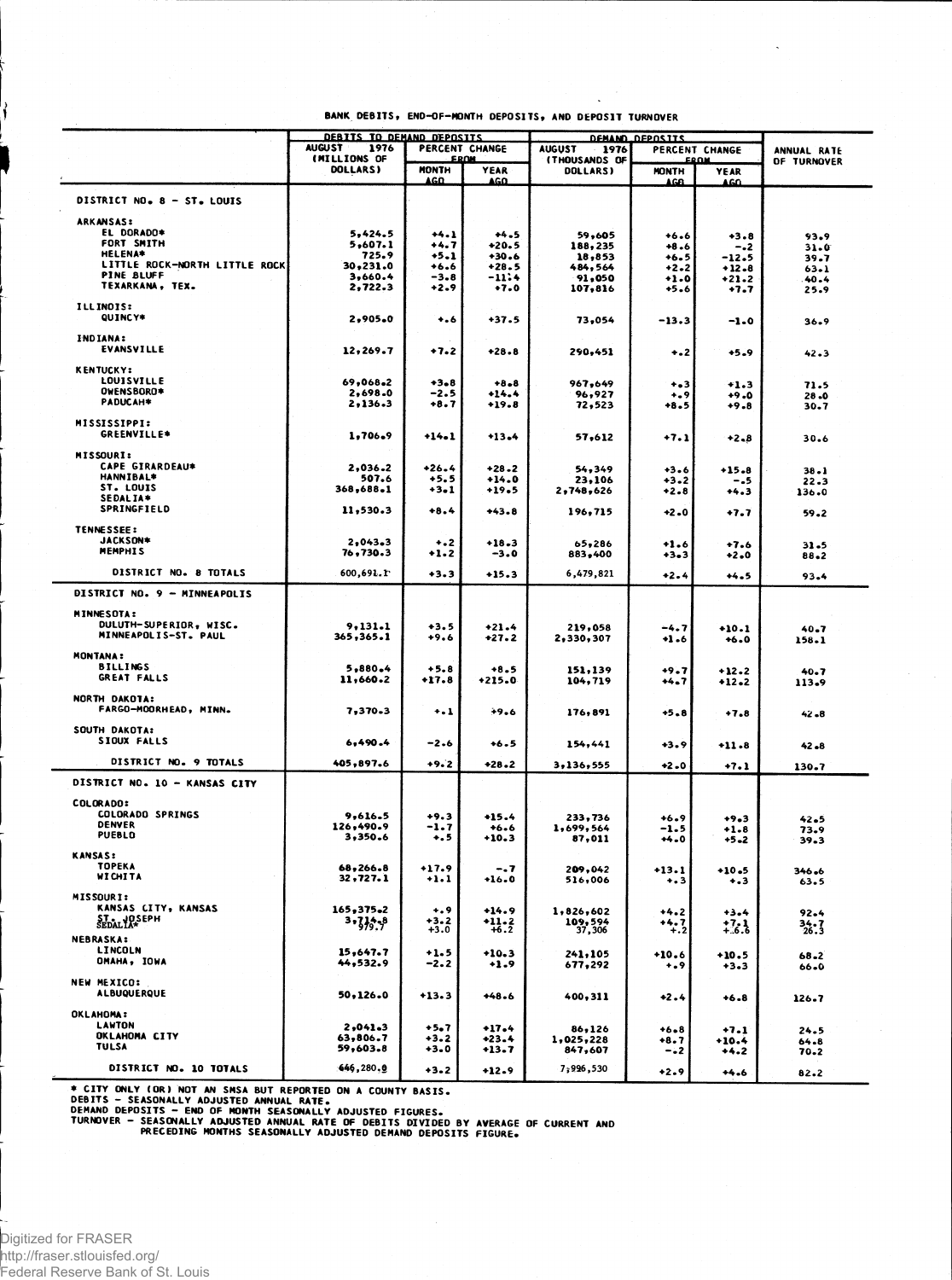|                                    | DEBITS TO DEMAND DEPOSITS               |                      |                    | <b>DEMAND DEPOSITS</b>           |                     |                            |                      |
|------------------------------------|-----------------------------------------|----------------------|--------------------|----------------------------------|---------------------|----------------------------|----------------------|
|                                    | <b>AUGUST</b><br>1976<br>PERCENT CHANGE |                      |                    | <b>AUGUST</b><br>1976            |                     | PERCENT CHANGE             | ANNUAL RATE          |
|                                    | (MILLIONS OF<br><b>DOLLARS</b> )        | FROM<br><b>MONTH</b> | <b>YEAR</b>        | <b>(THOUSANDS OF</b><br>DOLLARS) | <b>MONTH</b>        | <b>FROM</b><br><b>YEAR</b> | OF TURNOVER          |
|                                    |                                         | AGO.                 | AGO.               |                                  | AGA                 | 4 G.O.                     |                      |
| DISTRICT NO. 8 - ST. LOUIS         |                                         |                      |                    |                                  |                     |                            |                      |
|                                    |                                         |                      |                    |                                  |                     |                            |                      |
| <b>ARKANSAS:</b>                   |                                         |                      |                    |                                  |                     |                            |                      |
| EL DORADO*<br>FORT SMITH           | 5,424.5                                 | $+4.1$               | $+4.5$             | 59,605                           | $+6.6$              | $+3.8$                     | 93.9                 |
| <b>HELENA*</b>                     | 5,607.1<br>725.9                        | +4.7<br>$+5.1$       | $+20.5$<br>$+30.6$ | 188,235                          | $+8.6$              | $-.2$                      | $31 - 0$             |
| LITTLE ROCK-NORTH LITTLE ROCK      | 30,231.0                                | $+6.6$               | $+28.5$            | 18,853<br>484,564                | $+6.5$<br>$+2.2$    | $-12.5$<br>$+12.8$         | 39.7                 |
| <b>PINE BLUFF</b>                  | 3,660.4                                 | $-3.8$               | -11:4              | 91,050                           | $+1.0$              | $+21.2$                    | $63 - 1$<br>40.4     |
| TEXARKANA. TEX.                    | 2,722.3                                 | +2.9                 | $+7.0$             | 107,816                          | $+5.6$              | $+7.7$                     | 25.9                 |
| ILLINOIS:                          |                                         |                      |                    |                                  |                     |                            |                      |
| QUINCY*                            | 2,905.0                                 | $\bullet$ .6         | $+37.5$            | 73,054                           | $-13.3$             |                            |                      |
|                                    |                                         |                      |                    |                                  |                     | $-1.0$                     | $36 - 9$             |
| <b>INDIANA:</b>                    |                                         |                      |                    |                                  |                     |                            |                      |
| EVANSVILLE                         | 12,269.7                                | $+7.2$               | $+28.8$            | 290,451                          | ÷.2                 | $+5.9$                     | 42.3                 |
| <b>KENTUCKY:</b>                   |                                         |                      |                    |                                  |                     |                            |                      |
| <b>LOUISVILLE</b>                  | 69,068.2                                | $+3.8$               | $+8.8$             |                                  |                     |                            |                      |
| <b>OWENSBORD*</b>                  | 2,698.0                                 | $-2.5$               | $+14.4$            | 967,649<br>96,927                | $+ - 3$<br>$^{+.9}$ | $+1.3$<br>$+9.0$           | 71.5                 |
| PADUCAH*                           | 2,136.3                                 | $+8.7$               | $+19.8$            | 72,523                           | $+8.5$              | $+9.8$                     | $28 - 0$<br>$30 - 7$ |
|                                    |                                         |                      |                    |                                  |                     |                            |                      |
| <b>MISSISSIPPI:</b><br>GREENVILLE* |                                         |                      |                    |                                  |                     |                            |                      |
|                                    | 1,706.9                                 | $+14.1$              | $+13.4$            | 57,612                           | $+7.1$              | $+2.8$                     | 30.6                 |
| <b>MISSOURI:</b>                   |                                         |                      |                    |                                  |                     |                            |                      |
| <b>CAPE GIRARDEAU*</b>             | 2,036.2                                 | $+26.4$              | $+28.2$            | 54,349                           | $+3.6$              | $+15.8$                    | $38 - 1$             |
| <b>HANNIBAL*</b>                   | 507.6                                   | $+5.5$               | $+14.0$            | 23,106                           | $+3 - 2$            | -.5                        | $22 - 3$             |
| ST. LOUIS                          | 368,688.1                               | $+3 - 1$             | $+19.5$            | 2,748,626                        | $+2.8$              | $+4.3$                     | 136.0                |
| SEDALIA*<br>SPRINGFIELD            | 11,530.3                                |                      |                    |                                  |                     |                            |                      |
|                                    |                                         | $+8.4$               | $+43.8$            | 196,715                          | $+2.0$              | +7.7                       | 59.2                 |
| TENNESSEE:                         |                                         |                      |                    |                                  |                     |                            |                      |
| JACKSON*                           | 2,043,3                                 | $+2$                 | $+18.3$            | 65,286                           | $+1.6$              | $+7.6$                     | $31 - 5$             |
| <b>MEMPHIS</b>                     | 76.730.3                                | +1.2                 | -3.0               | 883,400                          | $+3-3$              | $+2.0$                     | 88.2                 |
| DISTRICT NO. 8 TOTALS              | $600,691.$ r                            | $+3.3$               |                    | 6,479,821                        |                     |                            |                      |
|                                    |                                         |                      | $+15.3$            |                                  | $+2.4$              | $+4.5$                     | 93.4                 |
| DISTRICT NO. 9 - MINNEAPOLIS       |                                         |                      |                    |                                  |                     |                            |                      |
| <b>MINNESOTA:</b>                  |                                         |                      |                    |                                  |                     |                            |                      |
| DULUTH-SUPERIOR, WISC.             | 9,131.1                                 | $+3.5$               | $+21.4$            | 219,058                          | $-4.7$              | $+10.1$                    |                      |
| MINNEAPOLIS-ST. PAUL               | 365,365.1                               | $+9.6$               | $+27.2$            | 2,330,307                        | $+1.6$              | $+6.0$                     | 40.7<br>158.1        |
|                                    |                                         |                      |                    |                                  |                     |                            |                      |
| <b>MONTANA:</b><br><b>BILLINGS</b> |                                         |                      |                    |                                  |                     |                            |                      |
| <b>GREAT FALLS</b>                 | 5,880.4<br>11,660.2                     | $+5.8$<br>$+17.8$    | $+8.5$<br>$+215.0$ | 151,139                          | $+9.7$              | $+12.2$                    | 40.7                 |
|                                    |                                         |                      |                    | 104,719                          | $+4.7$              | $+12.2$                    | 113.9                |
| NORTH DAKOTA:                      |                                         |                      |                    |                                  |                     |                            |                      |
| FARGO-MOORHEAD, MINN.              | 7,370.3                                 | $\ddotsc$            | →9.6               | 176,891                          | $+5.8$              | $+7.8$                     | 42.8                 |
| SOUTH DAKOTA:                      |                                         |                      |                    |                                  |                     |                            |                      |
| SIOUX FALLS                        | 6,490.4                                 | $-2.6$               | $+6.5$             | 154,441                          | $+3.9$              |                            |                      |
|                                    |                                         |                      |                    |                                  |                     | $+11.8$                    | 42.8                 |
| DISTRICT NO. 9 TOTALS              | 405,897.6                               | $+9.2$               | $+28.2$            | 3,136,555                        | $+2.0$              | $+7.1$                     | 130.7                |
| DISTRICT NO. 10 - KANSAS CITY      |                                         |                      |                    |                                  |                     |                            |                      |
|                                    |                                         |                      |                    |                                  |                     |                            |                      |
| <b>COLORADO:</b>                   |                                         |                      |                    |                                  |                     |                            |                      |
| COLORADO SPRINGS                   | 9,616.5                                 | $+9.3$               | $+15.4$            | 233,736                          | $+6.9$              | $+9.3$                     | 42.5                 |
| <b>DENVER</b><br>PUEBLO            | 126,490.9<br>3,350.6                    | $-1.7$               | $+6.6$             | 1,699,564                        | -1.5                | $+1.8$                     | 73.9                 |
|                                    |                                         | $\ddotsc$            | $+10.3$            | 87,011                           | $+4.0$              | $+5 - 2$                   | $39-3$               |
| <b>KANSAS:</b>                     |                                         |                      |                    |                                  |                     |                            |                      |
| <b>TOPEKA</b>                      | 68,266.8                                | $+17.9$              | -. 7               | 209,042                          | $+13.1$             | $+10.5$                    | 346.6                |
| WICHITA                            | 32,727.1                                | $\ddots$             | $+16.0$            | 516,006                          | $+ 3$               | ٠.3                        | 63.5                 |
| <b>MISSOURI:</b>                   |                                         |                      |                    |                                  |                     |                            |                      |
| KANSAS CITY, KANSAS                | 165,375.2                               | $^{+.9}$             | $+14.9$            | 1,826,602                        | $+4.2$              | $+3.4$                     | 92.4                 |
| ST. JOSEPH                         | $3.3 + 9$                               | $+3.2$               | $+11.2$            | 109,594<br>37,306                | +4.7                |                            |                      |
|                                    |                                         | $+3.0$               | $+6.2$             |                                  | $+.2$               | : 3                        | 34.7                 |
| <b>NEBRASKA:</b><br>LINCOLN        |                                         |                      |                    |                                  |                     |                            |                      |
| OMAHA, IOWA                        | 15,647.7<br>44,532.9                    | $+1.5$               | $+10.3$            | 241,105                          | $+10.6$             | $+10.5$                    | $68 - 2$             |
|                                    |                                         | -2.2                 | $+1.9$             | 677,292                          | $^{+}\cdot^{9}$     | $+3 - 3$                   | 66.0                 |
| NEW MEXICO:                        |                                         |                      |                    |                                  |                     |                            |                      |
| <b>ALBUQUERQUE</b>                 | 50,126.0                                | $+13.3$              | $+48.6$            | 400,311                          | +2.4                | $+6.8$                     | 126.7                |
| <b>OKLAHOMA:</b>                   |                                         |                      |                    |                                  |                     |                            |                      |
| <b>LAWTON</b>                      | 2,041.3                                 |                      |                    |                                  |                     |                            |                      |
| OKLAHOMA CITY                      | 63,806.7                                | $+5.7$<br>+3.2       | $+17.4$<br>$+23.4$ | 86,126<br>1,025,228              | $+6.8$              | $+7.1$                     | 24.5                 |
| <b>TULSA</b>                       | 59,603.8                                | +3.0                 | +13.7              | 847,607                          | $+8.7$<br>- . 2     | $+10.4$<br>$+4.2$          | 64.8<br>70.2         |
|                                    |                                         |                      |                    |                                  |                     |                            |                      |
| DISTRICT NO. 10 TOTALS             | 646,280.0                               | +3.2                 | $+12.9$            | 7,996,530                        | $+2.9$              | $+4.6$                     | 82.2                 |

\* CITY ONLY (OR) NOT AN SMSA BUT REPORTED ON A COUNTY BASIS.<br>DEBITS - SEASONALLY ADJUSTED ANNUAL RATE.<br>DEMAND DEPOSITS - END OF MONTH SEASONALLY ADJUSTED FIGURES.<br>TURNOVER - SEASONALLY ADJUSTED ANNUAL RATE OF DEBITS DIVIDE